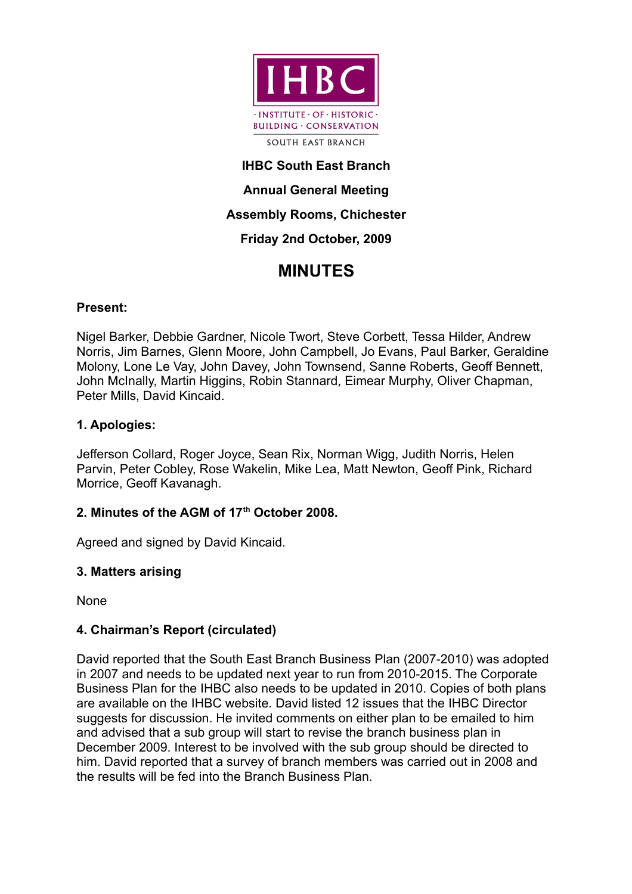

# **IHBC South East Branch Annual General Meeting Assembly Rooms, Chichester Friday 2nd October, 2009**

# **MINUTES**

# **Present:**

Nigel Barker, Debbie Gardner, Nicole Twort, Steve Corbett, Tessa Hilder, Andrew Norris, Jim Barnes, Glenn Moore, John Campbell, Jo Evans, Paul Barker, Geraldine Molony, Lone Le Vay, John Davey, John Townsend, Sanne Roberts, Geoff Bennett, John McInally, Martin Higgins, Robin Stannard, Eimear Murphy, Oliver Chapman, Peter Mills, David Kincaid.

# **1. Apologies:**

Jefferson Collard, Roger Joyce, Sean Rix, Norman Wigg, Judith Norris, Helen Parvin, Peter Cobley, Rose Wakelin, Mike Lea, Matt Newton, Geoff Pink, Richard Morrice, Geoff Kavanagh.

# **2. Minutes of the AGM of 17th October 2008.**

Agreed and signed by David Kincaid.

# **3. Matters arising**

None

# **4. Chairman's Report (circulated)**

David reported that the South East Branch Business Plan (2007-2010) was adopted in 2007 and needs to be updated next year to run from 2010-2015. The Corporate Business Plan for the IHBC also needs to be updated in 2010. Copies of both plans are available on the IHBC website. David listed 12 issues that the IHBC Director suggests for discussion. He invited comments on either plan to be emailed to him and advised that a sub group will start to revise the branch business plan in December 2009. Interest to be involved with the sub group should be directed to him. David reported that a survey of branch members was carried out in 2008 and the results will be fed into the Branch Business Plan.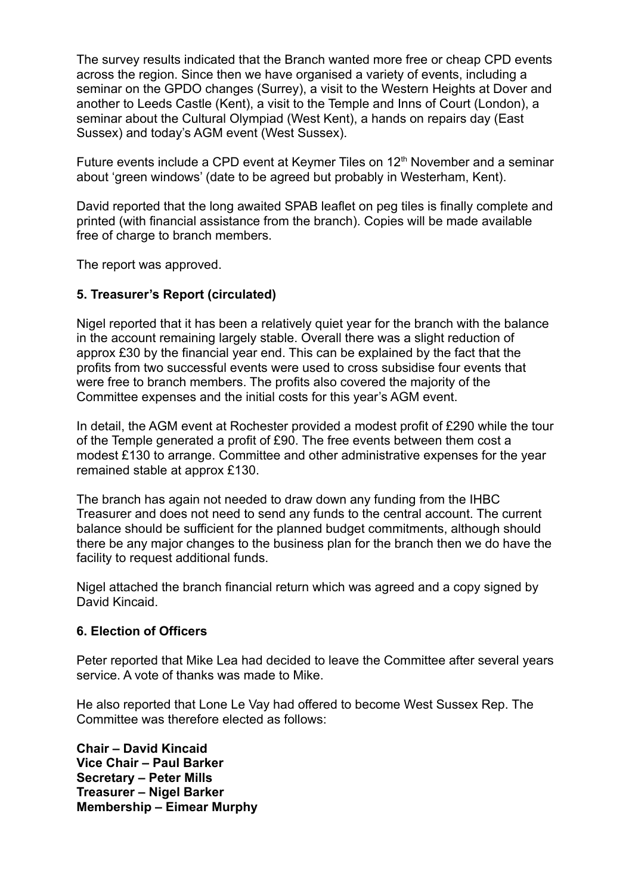The survey results indicated that the Branch wanted more free or cheap CPD events across the region. Since then we have organised a variety of events, including a seminar on the GPDO changes (Surrey), a visit to the Western Heights at Dover and another to Leeds Castle (Kent), a visit to the Temple and Inns of Court (London), a seminar about the Cultural Olympiad (West Kent), a hands on repairs day (East Sussex) and today's AGM event (West Sussex).

Future events include a CPD event at Keymer Tiles on  $12<sup>th</sup>$  November and a seminar about 'green windows' (date to be agreed but probably in Westerham, Kent).

David reported that the long awaited SPAB leaflet on peg tiles is finally complete and printed (with financial assistance from the branch). Copies will be made available free of charge to branch members.

The report was approved.

#### **5. Treasurer's Report (circulated)**

Nigel reported that it has been a relatively quiet year for the branch with the balance in the account remaining largely stable. Overall there was a slight reduction of approx £30 by the financial year end. This can be explained by the fact that the profits from two successful events were used to cross subsidise four events that were free to branch members. The profits also covered the majority of the Committee expenses and the initial costs for this year's AGM event.

In detail, the AGM event at Rochester provided a modest profit of £290 while the tour of the Temple generated a profit of £90. The free events between them cost a modest £130 to arrange. Committee and other administrative expenses for the year remained stable at approx £130.

The branch has again not needed to draw down any funding from the IHBC Treasurer and does not need to send any funds to the central account. The current balance should be sufficient for the planned budget commitments, although should there be any major changes to the business plan for the branch then we do have the facility to request additional funds.

Nigel attached the branch financial return which was agreed and a copy signed by David Kincaid.

#### **6. Election of Officers**

Peter reported that Mike Lea had decided to leave the Committee after several years service. A vote of thanks was made to Mike.

He also reported that Lone Le Vay had offered to become West Sussex Rep. The Committee was therefore elected as follows:

**Chair – David Kincaid Vice Chair – Paul Barker Secretary – Peter Mills Treasurer – Nigel Barker Membership – Eimear Murphy**